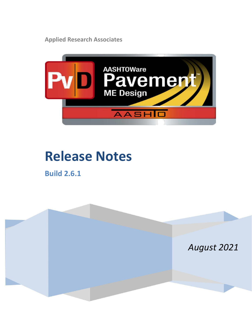**Applied Research Associates**



# **Release Notes**

**Build 2.6.1**

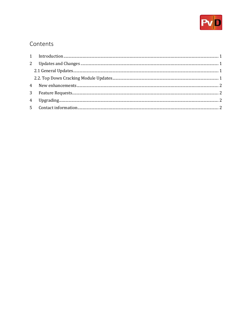

## Contents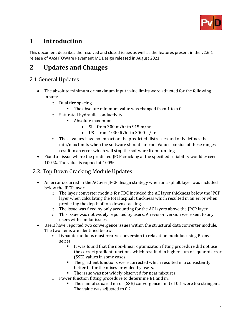

## <span id="page-2-0"></span>**1 Introduction**

This document describes the resolved and closed issues as well as the features present in the v2.6.1 release of AASHTOWare Pavement ME Design released in August 2021.

## <span id="page-2-1"></span>**2 Updates and Changes**

#### <span id="page-2-2"></span>2.1 General Updates

- The absolute minimum or maximum input value limits were adjusted for the following inputs:
	- o Dual tire spacing
		- The absolute minimum value was changed from 1 to a 0
	- o Saturated hydraulic conductivity
		- Absolute maximum
			- SI from 300 m/hr to 915 m/hr
			- US from 1000 ft/hr to 3000 ft/hr
	- $\circ$  These values have no impact on the predicted distresses and only defines the min/max limits when the software should not run. Values outside of these ranges result in an error which will stop the software from running.
- Fixed an issue where the predicted JPCP cracking at the specified reliability would exceed 100 %. The value is capped at 100%

#### <span id="page-2-3"></span>2.2. Top Down Cracking Module Updates

- An error occurred in the AC over JPCP design strategy when an asphalt layer was included below the JPCP layer.
	- $\circ$  The layer converter module for TDC included the AC layer thickness below the JPCP layer when calculating the total asphalt thickness which resulted in an error when predicting the depth of top-down cracking.
	- $\circ$  The issue was fixed by only accounting for the AC layers above the JPCP layer.
	- $\circ$  This issue was not widely reported by users. A revision version were sent to any users with similar issues.
- Users have reported two convergence issues within the structural data converter module. The two items are identified below.
	- o Dynamic modulus mastercurve conversion to relaxation modulus using Pronyseries
		- It was found that the non-linear optimization fitting procedure did not use the correct gradient functions which resulted in higher sum of squared error (SSE) values in some cases.
		- The gradient functions were corrected which resulted in a consistently better fit for the mixes provided by users.
		- The issue was not widely observed for neat mixtures.
	- o Power function fitting procedure to determine E1 and m.
		- The sum of squared error (SSE) convergence limit of 0.1 were too stringent. The value was adjusted to 0.2.